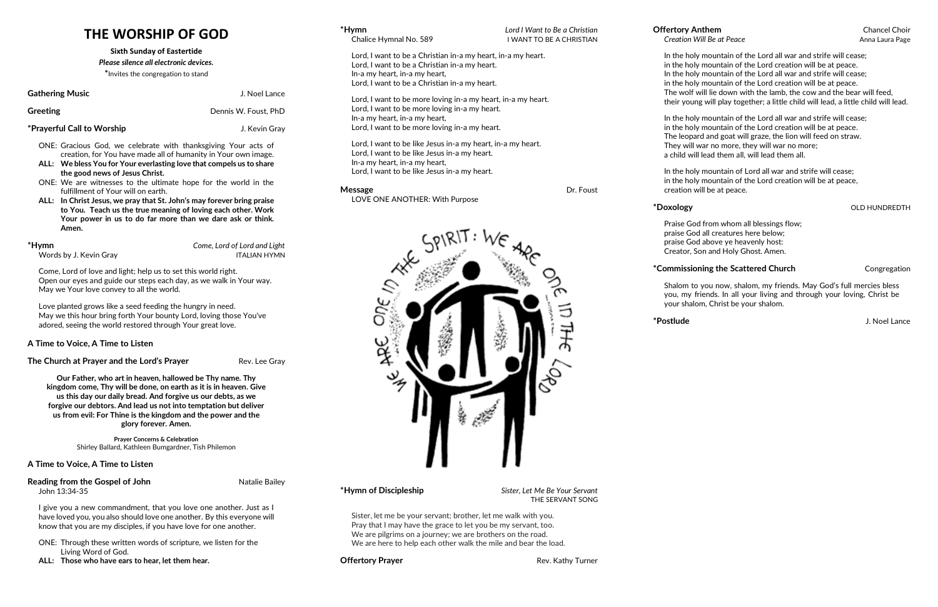# **THE WORSHIP OF GOD**

#### **Sixth Sunday of Eastertide**

#### *Please silence all electronic devices.*

**\***Invites the congregation to stand

#### **Gathering Music** Gathering **Music J. Noel Lance**

**Greeting Constanting Constanting Constanting Constanting Constanting Dennis W. Foust, PhD** 

### **\*Prayerful Call to Worship** J. Kevin Gray

- ONE: Gracious God, we celebrate with thanksgiving Your acts of creation, for You have made all of humanity in Your own image.
- **ALL: We bless You for Your everlasting love that compels us to share the good news of Jesus Christ.**
- ONE: We are witnesses to the ultimate hope for the world in the fulfillment of Your will on earth.
- **ALL: In Christ Jesus, we pray that St. John's may forever bring praise to You. Teach us the true meaning of loving each other. Work Your power in us to do far more than we dare ask or think. Amen.**

Words by J. Kevin Gray ITALIAN HYMN

**\*Hymn** *Come, Lord of Lord and Light*

#### **Reading from the Gospel of John 
<b>Natalie Bailey Natalie Bailey** John 13:34-35

Come, Lord of love and light; help us to set this world right. Open our eyes and guide our steps each day, as we walk in Your way. May we Your love convey to all the world.

Love planted grows like a seed feeding the hungry in need. May we this hour bring forth Your bounty Lord, loving those You've adored, seeing the world restored through Your great love.

### **A Time to Voice, A Time to Listen**

**The Church at Prayer and the Lord's Prayer** Rev. Lee Gray

**Message Dr. Foust** LOVE ONE ANOTHER: With Purpose

**Our Father, who art in heaven, hallowed be Thy name. Thy kingdom come, Thy will be done, on earth as it is in heaven. Give us this day our daily bread. And forgive us our debts, as we forgive our debtors. And lead us not into temptation but deliver us from evil: For Thine is the kingdom and the power and the glory forever. Amen.**

> **Prayer Concerns & Celebration** Shirley Ballard, Kathleen Bumgardner, Tish Philemon

### **A Time to Voice, A Time to Listen**

I give you a new commandment, that you love one another. Just as I have loved you, you also should love one another. By this everyone will know that you are my disciples, if you have love for one another.

- ONE: Through these written words of scripture, we listen for the Living Word of God.
- **ALL: Those who have ears to hear, let them hear.**

| *Hymn<br>Chalice Hymnal No. 589                                                                                                                                                                 | Lord I Want to Be a Christian<br>I WANT TO BE A CHRISTIAN |
|-------------------------------------------------------------------------------------------------------------------------------------------------------------------------------------------------|-----------------------------------------------------------|
| Lord, I want to be a Christian in-a my heart, in-a my heart.<br>Lord, I want to be a Christian in-a my heart.<br>In-a my heart, in-a my heart,<br>Lord, I want to be a Christian in-a my heart. |                                                           |
| Lord, I want to be more loving in-a my heart, in-a my heart.<br>Lord, I want to be more loving in-a my heart.<br>In-a my heart, in-a my heart,<br>Lord, I want to be more loving in-a my heart. |                                                           |
| Lord, I want to be like Jesus in-a my heart, in-a my heart.<br>Lord, I want to be like Jesus in-a my heart.<br>In-a my heart, in-a my heart,                                                    |                                                           |

Lord, I want to be like Jesus in-a my heart.



**\*Hymn of Discipleship** *Sister, Let Me Be Your Servant* THE SERVANT SONG

Sister, let me be your servant; brother, let me walk with you. Pray that I may have the grace to let you be my servant, too. We are pilgrims on a journey; we are brothers on the road. We are here to help each other walk the mile and bear the load.

**Offertory Prayer Rev. Kathy Turner Rev. Kathy Turner** 

# **Offertory Anthem** Chancel Choir

In the holy mountain of the Lord all war and strife will cease;

- in the holy mountain of the Lord creation will be at peace.
- In the holy mountain of the Lord all war and strife will cease;
- in the holy mountain of the Lord creation will be at peace.
- The wolf will lie down with the lamb, the cow and the bear will feed,
- their young will play together; a little child will lead, a little child will lead.

In the holy mountain of the Lord all war and strife will cease; in the holy mountain of the Lord creation will be at peace. The leopard and goat will graze, the lion will feed on straw. They will war no more, they will war no more; a child will lead them all, will lead them all.

**Creation Will Be at Peace** Anna Laura Page

In the holy mountain of Lord all war and strife will cease; in the holy mountain of the Lord creation will be at peace, creation will be at peace.

### $*$ **Doxology by a straight of the straight of the straight of the SND HUNDREDTH**

Praise God from whom all blessings flow; praise God all creatures here below; praise God above ye heavenly host: Creator, Son and Holy Ghost. Amen.

### \***Commissioning the Scattered Church** Congregation

Shalom to you now, shalom, my friends. May God's full mercies bless you, my friends. In all your living and through your loving, Christ be your shalom, Christ be your shalom.

**\*Postlude** J. Noel Lance